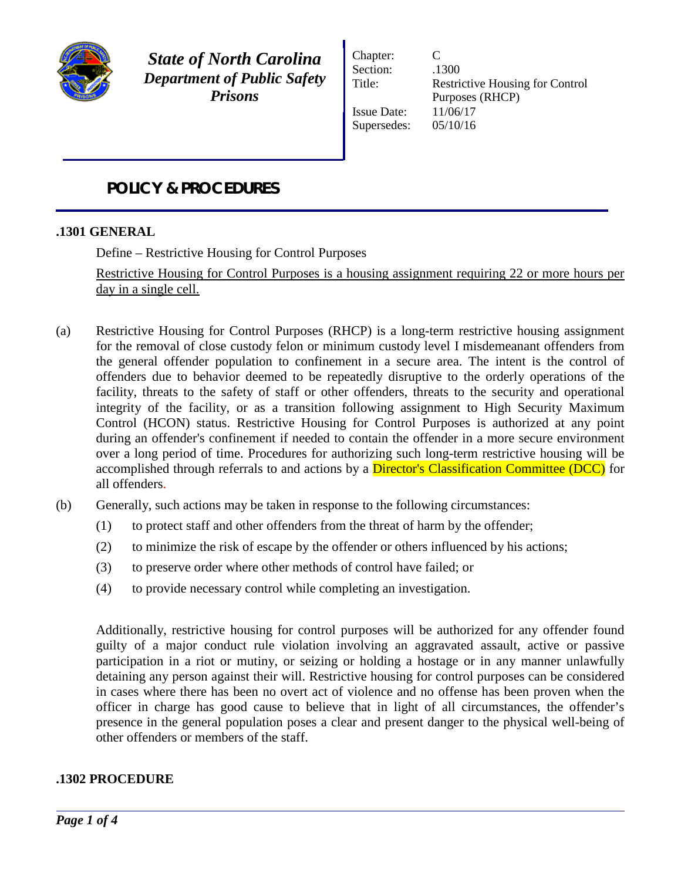

*State of North Carolina Department of Public Safety Prisons*

Chapter: C Section:  $.1300$ Issue Date: 11/06/17 Supersedes: 05/10/16

Title: Restrictive Housing for Control Purposes (RHCP)

# *POLICY & PROCEDURES*

## **.1301 GENERAL**

Define – Restrictive Housing for Control Purposes

Restrictive Housing for Control Purposes is a housing assignment requiring 22 or more hours per day in a single cell.

- (a) Restrictive Housing for Control Purposes (RHCP) is a long-term restrictive housing assignment for the removal of close custody felon or minimum custody level I misdemeanant offenders from the general offender population to confinement in a secure area. The intent is the control of offenders due to behavior deemed to be repeatedly disruptive to the orderly operations of the facility, threats to the safety of staff or other offenders, threats to the security and operational integrity of the facility, or as a transition following assignment to High Security Maximum Control (HCON) status. Restrictive Housing for Control Purposes is authorized at any point during an offender's confinement if needed to contain the offender in a more secure environment over a long period of time. Procedures for authorizing such long-term restrictive housing will be accomplished through referrals to and actions by a Director's Classification Committee (DCC) for all offenders.
- (b) Generally, such actions may be taken in response to the following circumstances:
	- (1) to protect staff and other offenders from the threat of harm by the offender;
	- (2) to minimize the risk of escape by the offender or others influenced by his actions;
	- (3) to preserve order where other methods of control have failed; or
	- (4) to provide necessary control while completing an investigation.

Additionally, restrictive housing for control purposes will be authorized for any offender found guilty of a major conduct rule violation involving an aggravated assault, active or passive participation in a riot or mutiny, or seizing or holding a hostage or in any manner unlawfully detaining any person against their will. Restrictive housing for control purposes can be considered in cases where there has been no overt act of violence and no offense has been proven when the officer in charge has good cause to believe that in light of all circumstances, the offender's presence in the general population poses a clear and present danger to the physical well-being of other offenders or members of the staff.

#### **.1302 PROCEDURE**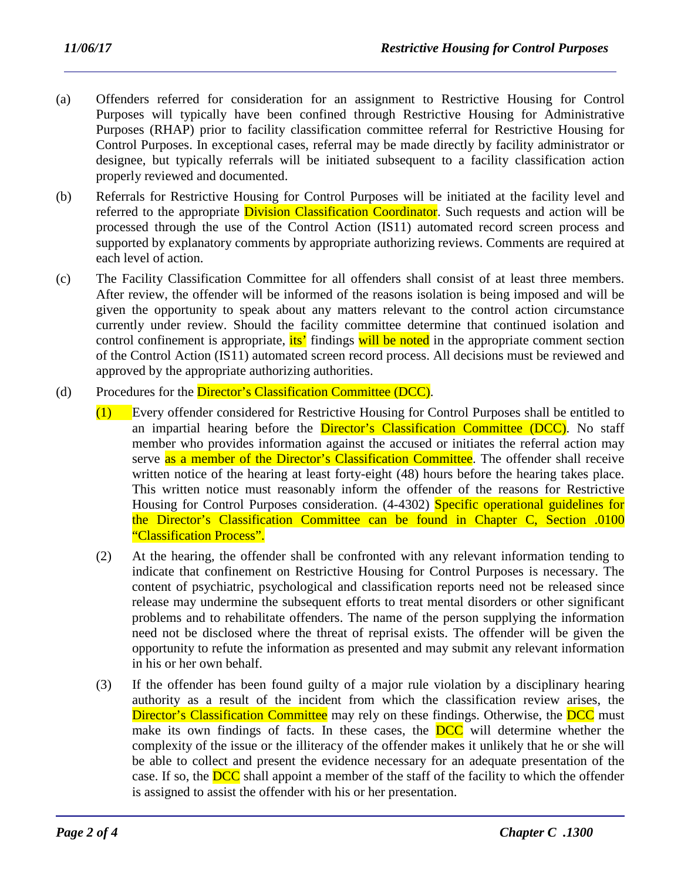- (a) Offenders referred for consideration for an assignment to Restrictive Housing for Control Purposes will typically have been confined through Restrictive Housing for Administrative Purposes (RHAP) prior to facility classification committee referral for Restrictive Housing for Control Purposes. In exceptional cases, referral may be made directly by facility administrator or designee, but typically referrals will be initiated subsequent to a facility classification action properly reviewed and documented.
- (b) Referrals for Restrictive Housing for Control Purposes will be initiated at the facility level and referred to the appropriate **Division Classification Coordinator**. Such requests and action will be processed through the use of the Control Action (IS11) automated record screen process and supported by explanatory comments by appropriate authorizing reviews. Comments are required at each level of action.
- (c) The Facility Classification Committee for all offenders shall consist of at least three members. After review, the offender will be informed of the reasons isolation is being imposed and will be given the opportunity to speak about any matters relevant to the control action circumstance currently under review. Should the facility committee determine that continued isolation and control confinement is appropriate, its' findings will be noted in the appropriate comment section of the Control Action (IS11) automated screen record process. All decisions must be reviewed and approved by the appropriate authorizing authorities.
- (d) Procedures for the Director's Classification Committee (DCC).
	- (1) Every offender considered for Restrictive Housing for Control Purposes shall be entitled to an impartial hearing before the Director's Classification Committee (DCC). No staff member who provides information against the accused or initiates the referral action may serve as a member of the Director's Classification Committee. The offender shall receive written notice of the hearing at least forty-eight (48) hours before the hearing takes place. This written notice must reasonably inform the offender of the reasons for Restrictive Housing for Control Purposes consideration. (4-4302) Specific operational guidelines for the Director's Classification Committee can be found in Chapter C, Section .0100 "Classification Process".
	- (2) At the hearing, the offender shall be confronted with any relevant information tending to indicate that confinement on Restrictive Housing for Control Purposes is necessary. The content of psychiatric, psychological and classification reports need not be released since release may undermine the subsequent efforts to treat mental disorders or other significant problems and to rehabilitate offenders. The name of the person supplying the information need not be disclosed where the threat of reprisal exists. The offender will be given the opportunity to refute the information as presented and may submit any relevant information in his or her own behalf.
	- (3) If the offender has been found guilty of a major rule violation by a disciplinary hearing authority as a result of the incident from which the classification review arises, the Director's Classification Committee may rely on these findings. Otherwise, the DCC must make its own findings of facts. In these cases, the **DCC** will determine whether the complexity of the issue or the illiteracy of the offender makes it unlikely that he or she will be able to collect and present the evidence necessary for an adequate presentation of the case. If so, the **DCC** shall appoint a member of the staff of the facility to which the offender is assigned to assist the offender with his or her presentation.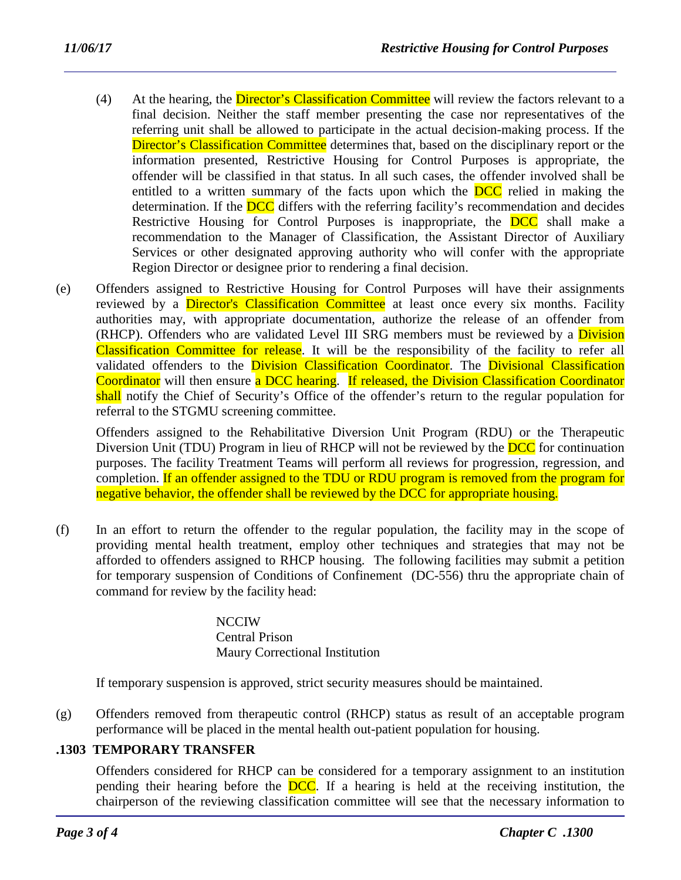- (4) At the hearing, the Director's Classification Committee will review the factors relevant to a final decision. Neither the staff member presenting the case nor representatives of the referring unit shall be allowed to participate in the actual decision-making process. If the Director's Classification Committee determines that, based on the disciplinary report or the information presented, Restrictive Housing for Control Purposes is appropriate, the offender will be classified in that status. In all such cases, the offender involved shall be entitled to a written summary of the facts upon which the **DCC** relied in making the determination. If the **DCC** differs with the referring facility's recommendation and decides Restrictive Housing for Control Purposes is inappropriate, the **DCC** shall make a recommendation to the Manager of Classification, the Assistant Director of Auxiliary Services or other designated approving authority who will confer with the appropriate Region Director or designee prior to rendering a final decision.
- (e) Offenders assigned to Restrictive Housing for Control Purposes will have their assignments reviewed by a **Director's Classification Committee** at least once every six months. Facility authorities may, with appropriate documentation, authorize the release of an offender from (RHCP). Offenders who are validated Level III SRG members must be reviewed by a **Division** Classification Committee for release. It will be the responsibility of the facility to refer all validated offenders to the **Division Classification Coordinator**. The **Divisional Classification** Coordinator will then ensure a DCC hearing. If released, the Division Classification Coordinator shall notify the Chief of Security's Office of the offender's return to the regular population for referral to the STGMU screening committee.

Offenders assigned to the Rehabilitative Diversion Unit Program (RDU) or the Therapeutic Diversion Unit (TDU) Program in lieu of RHCP will not be reviewed by the **DCC** for continuation purposes. The facility Treatment Teams will perform all reviews for progression, regression, and completion. If an offender assigned to the TDU or RDU program is removed from the program for negative behavior, the offender shall be reviewed by the DCC for appropriate housing.

(f) In an effort to return the offender to the regular population, the facility may in the scope of providing mental health treatment, employ other techniques and strategies that may not be afforded to offenders assigned to RHCP housing. The following facilities may submit a petition for temporary suspension of Conditions of Confinement (DC-556) thru the appropriate chain of command for review by the facility head:

#### **NCCIW** Central Prison Maury Correctional Institution

If temporary suspension is approved, strict security measures should be maintained.

(g) Offenders removed from therapeutic control (RHCP) status as result of an acceptable program performance will be placed in the mental health out-patient population for housing.

# **.1303 TEMPORARY TRANSFER**

Offenders considered for RHCP can be considered for a temporary assignment to an institution pending their hearing before the DCC. If a hearing is held at the receiving institution, the chairperson of the reviewing classification committee will see that the necessary information to